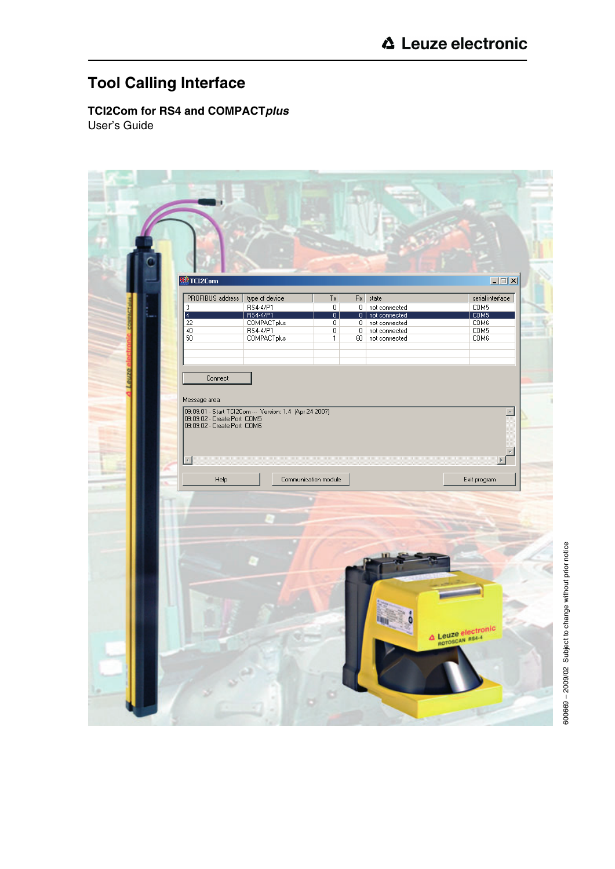# **Tool Calling Interface**

**TCI2Com for RS4 and COMPACT***plus* User's Guide

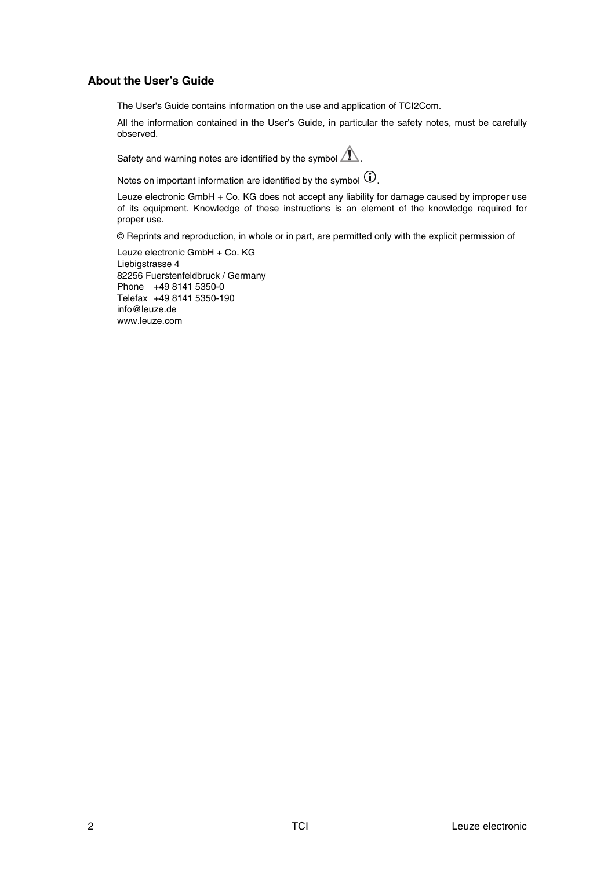# **About the User's Guide**

The User's Guide contains information on the use and application of TCI2Com.

All the information contained in the User's Guide, in particular the safety notes, must be carefully observed.

Safety and warning notes are identified by the symbol  $\bigwedge$ .

Notes on important information are identified by the symbol  $\textcircled{1}$ .

Leuze electronic GmbH + Co. KG does not accept any liability for damage caused by improper use of its equipment. Knowledge of these instructions is an element of the knowledge required for proper use.

© Reprints and reproduction, in whole or in part, are permitted only with the explicit permission of

Leuze electronic GmbH + Co. KG Liebigstrasse 4 82256 Fuerstenfeldbruck / Germany Phone +49 8141 5350-0 Telefax +49 8141 5350-190 info@leuze.de www.leuze.com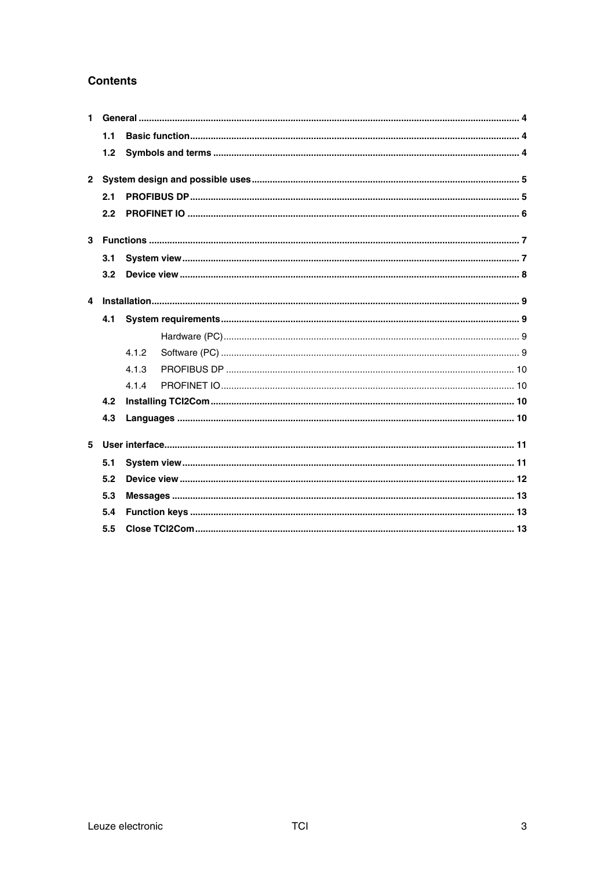# **Contents**

| $\mathbf 1$ |                  |       |  |  |  |  |  |
|-------------|------------------|-------|--|--|--|--|--|
|             | 1.1              |       |  |  |  |  |  |
|             | 1.2 <sub>1</sub> |       |  |  |  |  |  |
|             |                  |       |  |  |  |  |  |
|             | 2.1              |       |  |  |  |  |  |
|             | 2.2              |       |  |  |  |  |  |
|             |                  |       |  |  |  |  |  |
|             | 3.1              |       |  |  |  |  |  |
|             | 3.2              |       |  |  |  |  |  |
|             |                  |       |  |  |  |  |  |
|             | 4.1              |       |  |  |  |  |  |
|             |                  |       |  |  |  |  |  |
|             |                  | 4.1.2 |  |  |  |  |  |
|             |                  | 4.1.3 |  |  |  |  |  |
|             |                  | 4.1.4 |  |  |  |  |  |
|             | 4.2              |       |  |  |  |  |  |
|             | 4.3              |       |  |  |  |  |  |
| 5           |                  |       |  |  |  |  |  |
|             | 5.1              |       |  |  |  |  |  |
|             | 5.2              |       |  |  |  |  |  |
|             | 5.3              |       |  |  |  |  |  |
|             | 5.4              |       |  |  |  |  |  |
|             | 5.5              |       |  |  |  |  |  |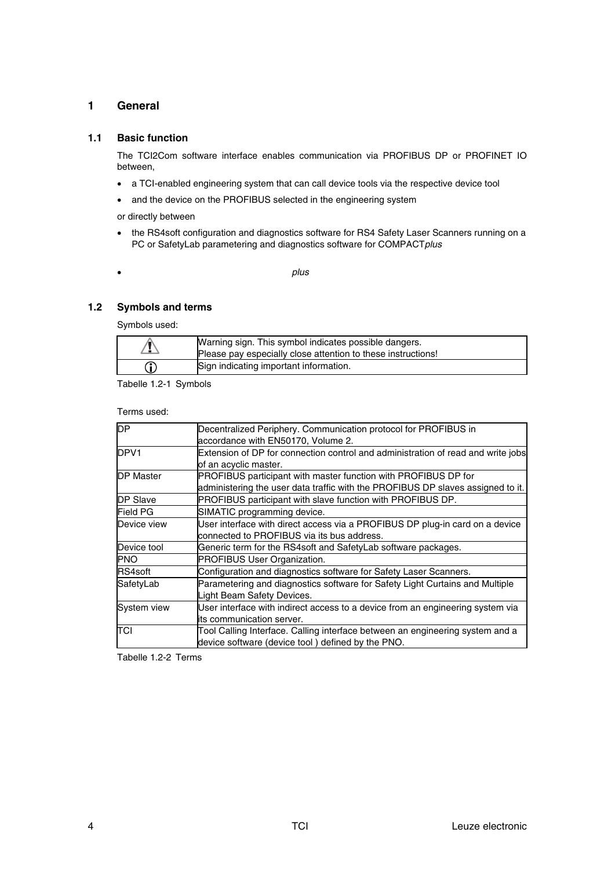# **1 General**

## **1.1 Basic function**

The TCI2Com software interface enables communication via PROFIBUS DP or PROFINET IO between,

- a TCI-enabled engineering system that can call device tools via the respective device tool
- and the device on the PROFIBUS selected in the engineering system

or directly between

- the RS4soft configuration and diagnostics software for RS4 Safety Laser Scanners running on a PC or SafetyLab parametering and diagnostics software for COMPACT*plus*
- *plus*

#### **1.2 Symbols and terms**

Symbols used:

| Warning sign. This symbol indicates possible dangers.<br>Please pay especially close attention to these instructions! |
|-----------------------------------------------------------------------------------------------------------------------|
| Sign indicating important information.                                                                                |

Tabelle 1.2-1 Symbols

Terms used:

| Decentralized Periphery. Communication protocol for PROFIBUS in                  |
|----------------------------------------------------------------------------------|
| accordance with EN50170, Volume 2.                                               |
| Extension of DP for connection control and administration of read and write jobs |
| of an acyclic master.                                                            |
| PROFIBUS participant with master function with PROFIBUS DP for                   |
| administering the user data traffic with the PROFIBUS DP slaves assigned to it.  |
| PROFIBUS participant with slave function with PROFIBUS DP.                       |
| SIMATIC programming device.                                                      |
| User interface with direct access via a PROFIBUS DP plug-in card on a device     |
| connected to PROFIBUS via its bus address.                                       |
| Generic term for the RS4soft and SafetyLab software packages.                    |
| PROFIBUS User Organization.                                                      |
| Configuration and diagnostics software for Safety Laser Scanners.                |
| Parametering and diagnostics software for Safety Light Curtains and Multiple     |
| Light Beam Safety Devices.                                                       |
| User interface with indirect access to a device from an engineering system via   |
| its communication server.                                                        |
| Tool Calling Interface. Calling interface between an engineering system and a    |
| device software (device tool) defined by the PNO.                                |
|                                                                                  |

Tabelle 1.2-2 Terms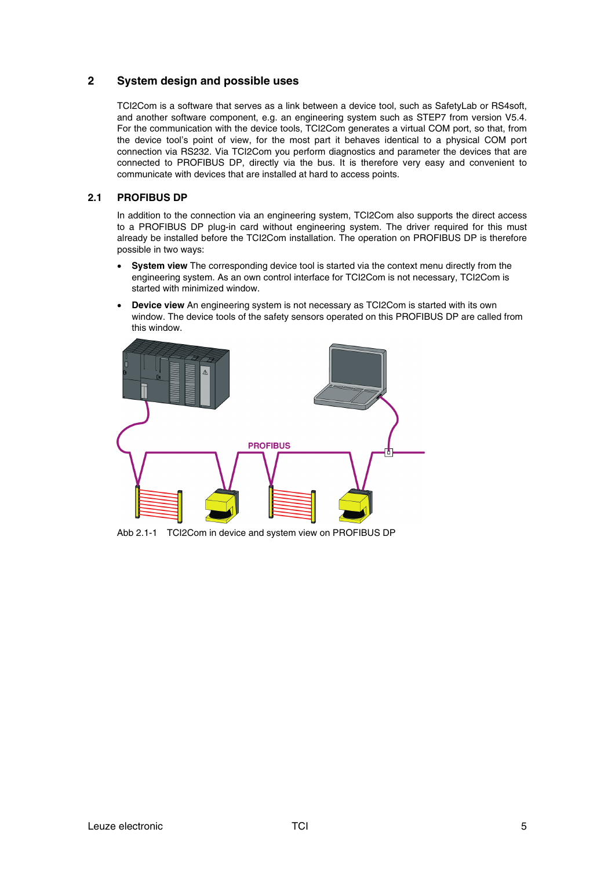# **2 System design and possible uses**

TCI2Com is a software that serves as a link between a device tool, such as SafetyLab or RS4soft, and another software component, e.g. an engineering system such as STEP7 from version V5.4. For the communication with the device tools, TCI2Com generates a virtual COM port, so that, from the device tool's point of view, for the most part it behaves identical to a physical COM port connection via RS232. Via TCI2Com you perform diagnostics and parameter the devices that are connected to PROFIBUS DP, directly via the bus. It is therefore very easy and convenient to communicate with devices that are installed at hard to access points.

# **2.1 PROFIBUS DP**

In addition to the connection via an engineering system, TCI2Com also supports the direct access to a PROFIBUS DP plug-in card without engineering system. The driver required for this must already be installed before the TCI2Com installation. The operation on PROFIBUS DP is therefore possible in two ways:

- **System view** The corresponding device tool is started via the context menu directly from the engineering system. As an own control interface for TCI2Com is not necessary, TCI2Com is started with minimized window.
- **Device view** An engineering system is not necessary as TCI2Com is started with its own window. The device tools of the safety sensors operated on this PROFIBUS DP are called from this window.



Abb 2.1-1 TCI2Com in device and system view on PROFIBUS DP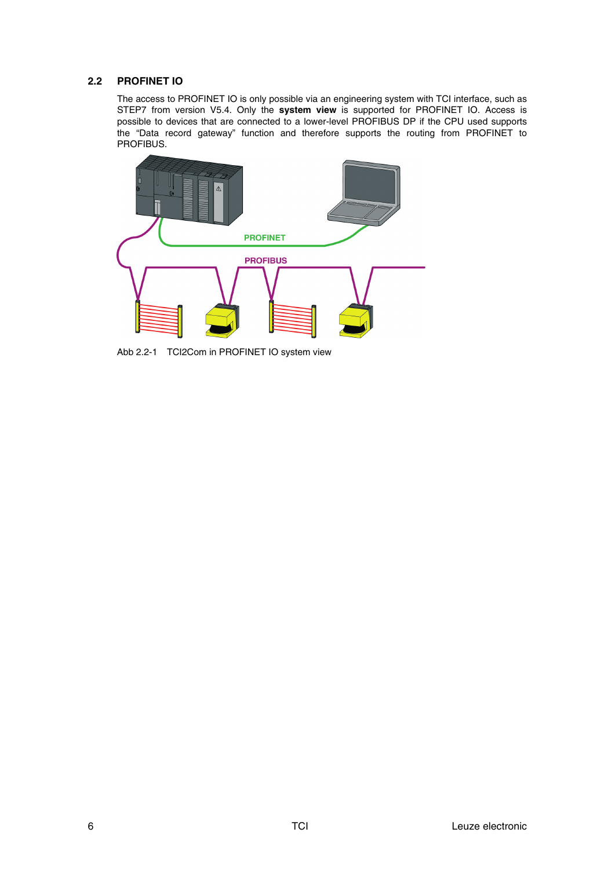# **2.2 PROFINET IO**

The access to PROFINET IO is only possible via an engineering system with TCI interface, such as STEP7 from version V5.4. Only the **system view** is supported for PROFINET IO. Access is possible to devices that are connected to a lower-level PROFIBUS DP if the CPU used supports the "Data record gateway" function and therefore supports the routing from PROFINET to PROFIBUS.



Abb 2.2-1 TCI2Com in PROFINET IO system view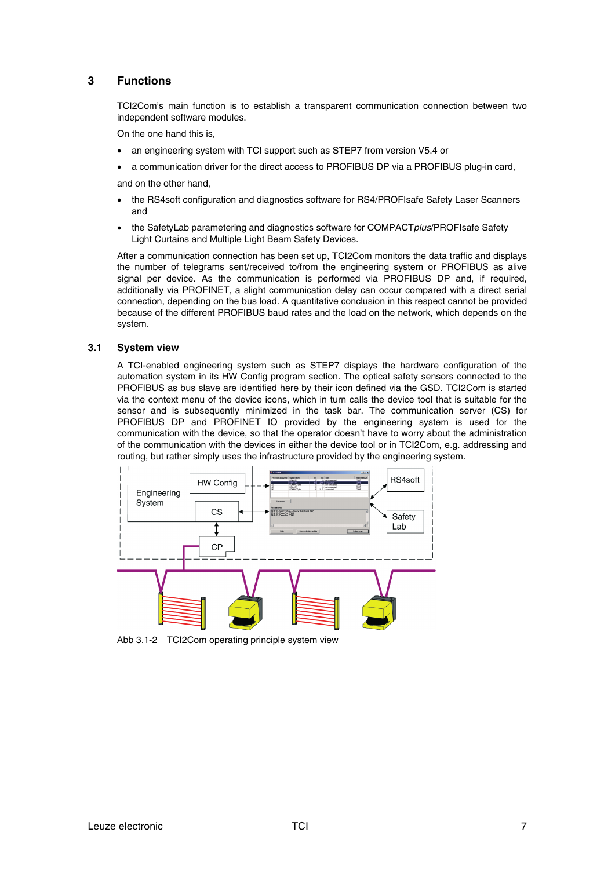# **3 Functions**

TCI2Com's main function is to establish a transparent communication connection between two independent software modules.

On the one hand this is,

- an engineering system with TCI support such as STEP7 from version V5.4 or
- a communication driver for the direct access to PROFIBUS DP via a PROFIBUS plug-in card,

and on the other hand,

- the RS4soft configuration and diagnostics software for RS4/PROFIsafe Safety Laser Scanners and
- the SafetyLab parametering and diagnostics software for COMPACT*plus*/PROFIsafe Safety Light Curtains and Multiple Light Beam Safety Devices.

After a communication connection has been set up, TCI2Com monitors the data traffic and displays the number of telegrams sent/received to/from the engineering system or PROFIBUS as alive signal per device. As the communication is performed via PROFIBUS DP and, if required, additionally via PROFINET, a slight communication delay can occur compared with a direct serial connection, depending on the bus load. A quantitative conclusion in this respect cannot be provided because of the different PROFIBUS baud rates and the load on the network, which depends on the system.

#### **3.1 System view**

A TCI-enabled engineering system such as STEP7 displays the hardware configuration of the automation system in its HW Config program section. The optical safety sensors connected to the PROFIBUS as bus slave are identified here by their icon defined via the GSD. TCI2Com is started via the context menu of the device icons, which in turn calls the device tool that is suitable for the sensor and is subsequently minimized in the task bar. The communication server (CS) for PROFIBUS DP and PROFINET IO provided by the engineering system is used for the communication with the device, so that the operator doesn't have to worry about the administration of the communication with the devices in either the device tool or in TCI2Com, e.g. addressing and routing, but rather simply uses the infrastructure provided by the engineering system.



Abb 3.1-2 TCI2Com operating principle system view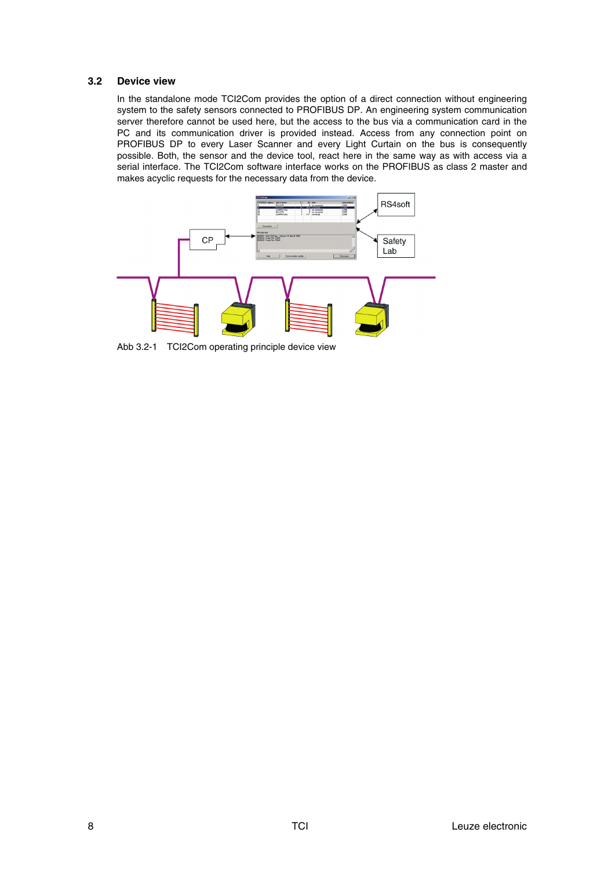#### **3.2 Device view**

In the standalone mode TCI2Com provides the option of a direct connection without engineering system to the safety sensors connected to PROFIBUS DP. An engineering system communication server therefore cannot be used here, but the access to the bus via a communication card in the PC and its communication driver is provided instead. Access from any connection point on PROFIBUS DP to every Laser Scanner and every Light Curtain on the bus is consequently possible. Both, the sensor and the device tool, react here in the same way as with access via a serial interface. The TCI2Com software interface works on the PROFIBUS as class 2 master and makes acyclic requests for the necessary data from the device.



Abb 3.2-1 TCI2Com operating principle device view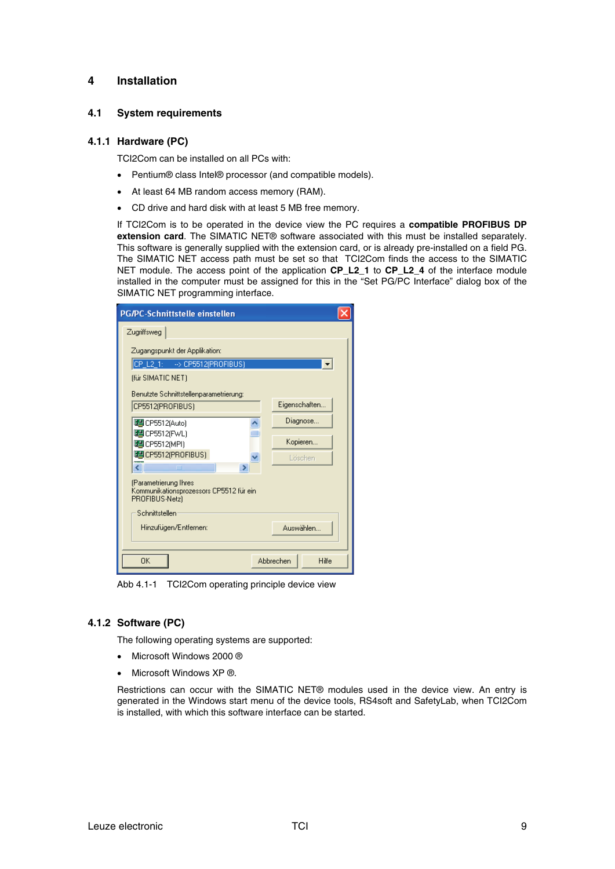## **4 Installation**

#### **4.1 System requirements**

#### **4.1.1 Hardware (PC)**

TCI2Com can be installed on all PCs with:

- Pentium® class Intel® processor (and compatible models).
- At least 64 MB random access memory (RAM).
- CD drive and hard disk with at least 5 MB free memory.

If TCI2Com is to be operated in the device view the PC requires a **compatible PROFIBUS DP extension card**. The SIMATIC NET® software associated with this must be installed separately. This software is generally supplied with the extension card, or is already pre-installed on a field PG. The SIMATIC NET access path must be set so that TCI2Com finds the access to the SIMATIC NET module. The access point of the application **CP\_L2\_1** to **CP\_L2\_4** of the interface module installed in the computer must be assigned for this in the "Set PG/PC Interface" dialog box of the SIMATIC NET programming interface.

| PG/PC-Schnittstelle einstellen                                                     |               |  |  |  |  |  |
|------------------------------------------------------------------------------------|---------------|--|--|--|--|--|
| Zugriffsweg                                                                        |               |  |  |  |  |  |
| Zugangspunkt der Applikation:                                                      |               |  |  |  |  |  |
| CP_L2_1: -> CP5512(PROFIBUS)                                                       |               |  |  |  |  |  |
| (für SIMATIC NET)                                                                  |               |  |  |  |  |  |
| Benutzte Schnittstellenparametrierung:                                             |               |  |  |  |  |  |
| CP5512(PROFIBUS)                                                                   | Eigenschaften |  |  |  |  |  |
| UHCP5512(Auto)                                                                     | Diagnose      |  |  |  |  |  |
| 图 CP5512(FWL)                                                                      | Kopieren      |  |  |  |  |  |
| 图 CP5512(MPI)<br>LECP5512(PROFIBUS)                                                |               |  |  |  |  |  |
| ۷Ī<br>m                                                                            | Löschen       |  |  |  |  |  |
| (Parametrierung Ihres<br>Kommunikationsprozessors CP5512 für ein<br>PROFIBUS-Netz) |               |  |  |  |  |  |
| Schnittstellen                                                                     |               |  |  |  |  |  |
| Hinzufügen/Entfernen:<br>Auswählen i                                               |               |  |  |  |  |  |
| 0K<br>Abbrechen<br>Hilfe                                                           |               |  |  |  |  |  |

Abb 4.1-1 TCI2Com operating principle device view

#### **4.1.2 Software (PC)**

The following operating systems are supported:

- Microsoft Windows 2000 ®
- Microsoft Windows XP ®.

Restrictions can occur with the SIMATIC NET® modules used in the device view. An entry is generated in the Windows start menu of the device tools, RS4soft and SafetyLab, when TCI2Com is installed, with which this software interface can be started.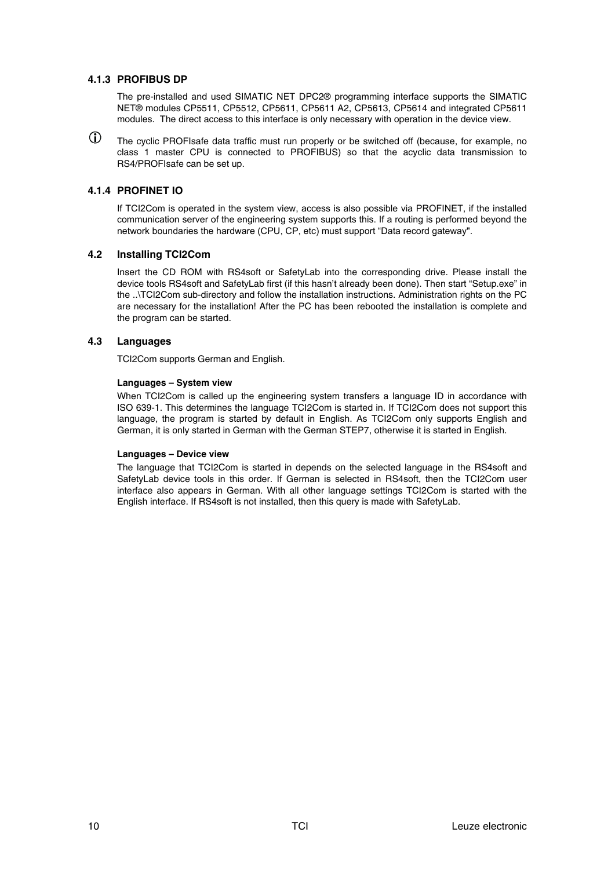## **4.1.3 PROFIBUS DP**

The pre-installed and used SIMATIC NET DPC2® programming interface supports the SIMATIC NET® modules CP5511, CP5512, CP5611, CP5611 A2, CP5613, CP5614 and integrated CP5611 modules. The direct access to this interface is only necessary with operation in the device view.

 $\bigcirc$ The cyclic PROFIsafe data traffic must run properly or be switched off (because, for example, no class 1 master CPU is connected to PROFIBUS) so that the acyclic data transmission to RS4/PROFIsafe can be set up.

# **4.1.4 PROFINET IO**

If TCI2Com is operated in the system view, access is also possible via PROFINET, if the installed communication server of the engineering system supports this. If a routing is performed beyond the network boundaries the hardware (CPU, CP, etc) must support "Data record gateway".

## **4.2 Installing TCI2Com**

Insert the CD ROM with RS4soft or SafetyLab into the corresponding drive. Please install the device tools RS4soft and SafetyLab first (if this hasn't already been done). Then start "Setup.exe" in the ..\TCI2Com sub-directory and follow the installation instructions. Administration rights on the PC are necessary for the installation! After the PC has been rebooted the installation is complete and the program can be started.

## **4.3 Languages**

TCI2Com supports German and English.

#### **Languages – System view**

When TCI2Com is called up the engineering system transfers a language ID in accordance with ISO 639-1. This determines the language TCI2Com is started in. If TCI2Com does not support this language, the program is started by default in English. As TCI2Com only supports English and German, it is only started in German with the German STEP7, otherwise it is started in English.

#### **Languages – Device view**

The language that TCI2Com is started in depends on the selected language in the RS4soft and SafetyLab device tools in this order. If German is selected in RS4soft, then the TCI2Com user interface also appears in German. With all other language settings TCI2Com is started with the English interface. If RS4soft is not installed, then this query is made with SafetyLab.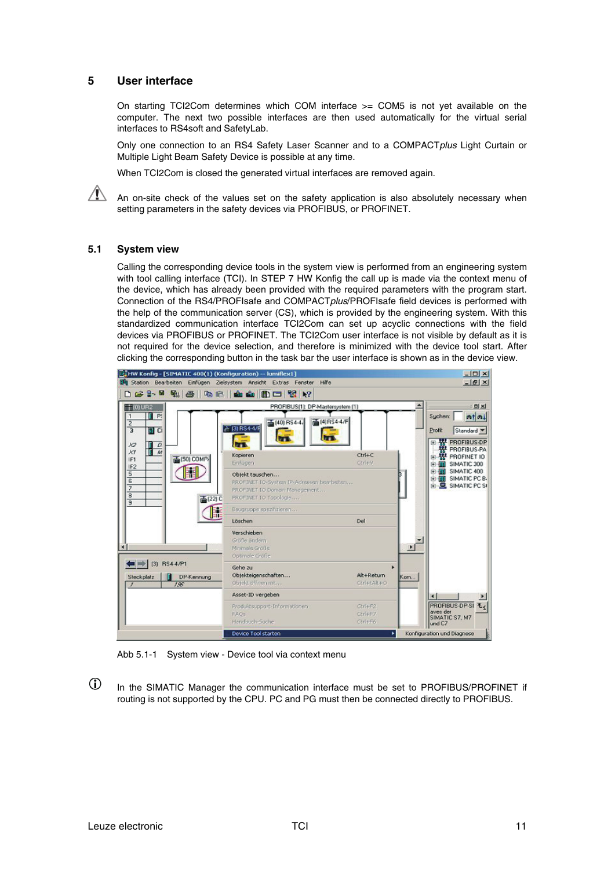# **5 User interface**

On starting TCI2Com determines which COM interface >= COM5 is not yet available on the computer. The next two possible interfaces are then used automatically for the virtual serial interfaces to RS4soft and SafetyLab.

Only one connection to an RS4 Safety Laser Scanner and to a COMPACT*plus* Light Curtain or Multiple Light Beam Safety Device is possible at any time.

When TCI2Com is closed the generated virtual interfaces are removed again.

An on-site check of the values set on the safety application is also absolutely necessary when setting parameters in the safety devices via PROFIBUS, or PROFINET.

#### **5.1 System view**

Calling the corresponding device tools in the system view is performed from an engineering system with tool calling interface (TCI). In STEP 7 HW Konfig the call up is made via the context menu of the device, which has already been provided with the required parameters with the program start. Connection of the RS4/PROFIsafe and COMPACT*plus*/PROFIsafe field devices is performed with the help of the communication server (CS), which is provided by the engineering system. With this standardized communication interface TCI2Com can set up acyclic connections with the field devices via PROFIBUS or PROFINET. The TCI2Com user interface is not visible by default as it is not required for the device selection, and therefore is minimized with the device tool start. After clicking the corresponding button in the task bar the user interface is shown as in the device view.



Abb 5.1-1 System view - Device tool via context menu

 $\bigcirc$ In the SIMATIC Manager the communication interface must be set to PROFIBUS/PROFINET if routing is not supported by the CPU. PC and PG must then be connected directly to PROFIBUS.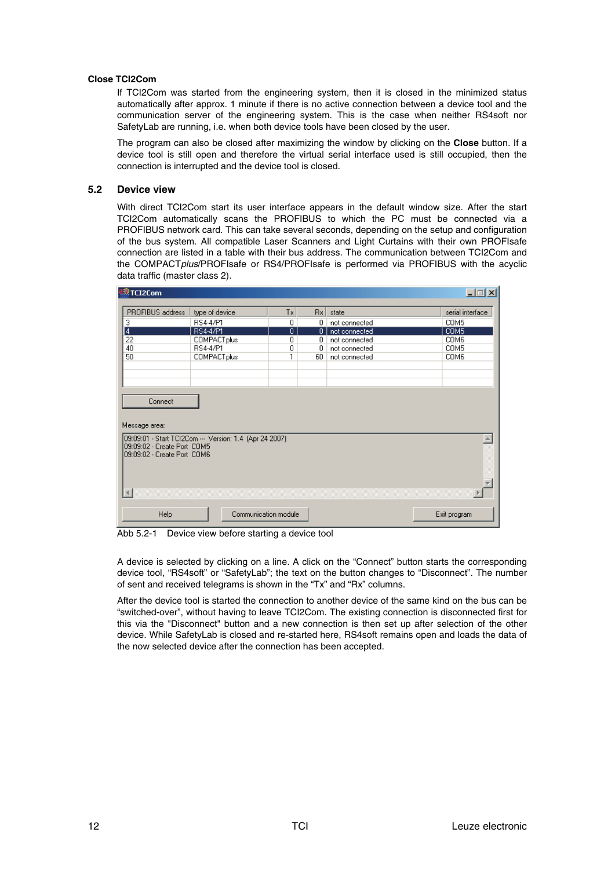#### **Close TCI2Com**

If TCI2Com was started from the engineering system, then it is closed in the minimized status automatically after approx. 1 minute if there is no active connection between a device tool and the communication server of the engineering system. This is the case when neither RS4soft nor SafetyLab are running, i.e. when both device tools have been closed by the user.

The program can also be closed after maximizing the window by clicking on the **Close** button. If a device tool is still open and therefore the virtual serial interface used is still occupied, then the connection is interrupted and the device tool is closed.

#### **5.2 Device view**

With direct TCI2Com start its user interface appears in the default window size. After the start TCI2Com automatically scans the PROFIBUS to which the PC must be connected via a PROFIBUS network card. This can take several seconds, depending on the setup and configuration of the bus system. All compatible Laser Scanners and Light Curtains with their own PROFIsafe connection are listed in a table with their bus address. The communication between TCI2Com and the COMPACT*plus*/PROFIsafe or RS4/PROFIsafe is performed via PROFIBUS with the acyclic data traffic (master class 2).

| 盟 TCI2Com                                                                                                             |                    |                |              |               | $\Box$           |  |  |
|-----------------------------------------------------------------------------------------------------------------------|--------------------|----------------|--------------|---------------|------------------|--|--|
| PROFIBUS address                                                                                                      | type of device     | Tx.            | Rx           | state         | serial interface |  |  |
| 3                                                                                                                     | RS4-4/P1           | 0              | 0            | not connected | COM5             |  |  |
| $\frac{4}{22}$                                                                                                        | <b>RS4-4/P1</b>    | $\overline{0}$ | $\mathbf{0}$ | not connected | COM <sub>5</sub> |  |  |
|                                                                                                                       | <b>COMPACTplus</b> | 0              | 0.           | not connected | COM6             |  |  |
| 40                                                                                                                    | RS4-4/P1           | 0              | 0            | not connected | COM5             |  |  |
| 50                                                                                                                    | <b>COMPACTplus</b> | 1              | 60           | not connected | COM6             |  |  |
|                                                                                                                       |                    |                |              |               |                  |  |  |
|                                                                                                                       |                    |                |              |               |                  |  |  |
|                                                                                                                       |                    |                |              |               |                  |  |  |
| Connect                                                                                                               |                    |                |              |               |                  |  |  |
| Message area:                                                                                                         |                    |                |              |               |                  |  |  |
| 09:09:01 - Start TCI2Com --- Version: 1.4 (Apr 24 2007)<br>09:09:02 - Create Port COM5<br>09:09:02 - Create Port_COM6 |                    |                |              |               |                  |  |  |
|                                                                                                                       |                    |                |              |               |                  |  |  |
| Help<br>Communication module<br>Exit program                                                                          |                    |                |              |               |                  |  |  |

Abb 5.2-1 Device view before starting a device tool

A device is selected by clicking on a line. A click on the "Connect" button starts the corresponding device tool, "RS4soft" or "SafetyLab"; the text on the button changes to "Disconnect". The number of sent and received telegrams is shown in the "Tx" and "Rx" columns.

After the device tool is started the connection to another device of the same kind on the bus can be "switched-over", without having to leave TCI2Com. The existing connection is disconnected first for this via the "Disconnect" button and a new connection is then set up after selection of the other device. While SafetyLab is closed and re-started here, RS4soft remains open and loads the data of the now selected device after the connection has been accepted.